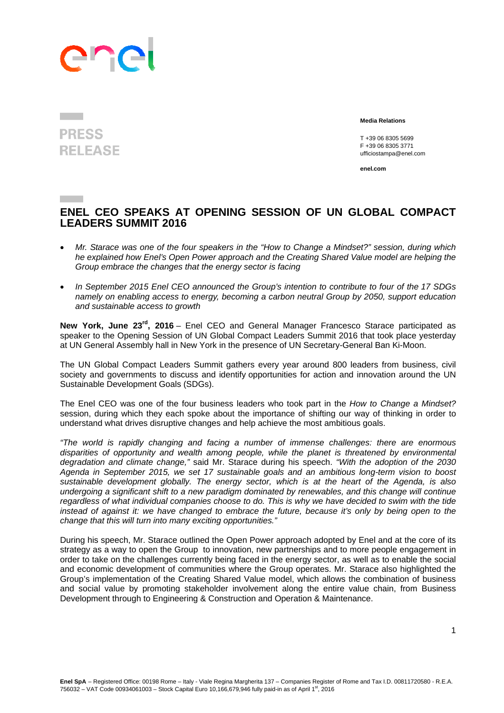## ene

## **PRESS RELEASE**

 **Media Relations** 

 T +39 06 8305 5699 F +39 06 8305 3771 ufficiostampa@enel.com

**enel.com**

## **ENEL CEO SPEAKS AT OPENING SESSION OF UN GLOBAL COMPACT LEADERS SUMMIT 2016**

- *Mr. Starace was one of the four speakers in the "How to Change a Mindset?" session, during which he explained how Enel's Open Power approach and the Creating Shared Value model are helping the Group embrace the changes that the energy sector is facing*
- *In September 2015 Enel CEO announced the Group's intention to contribute to four of the 17 SDGs namely on enabling access to energy, becoming a carbon neutral Group by 2050, support education and sustainable access to growth*

**New York, June 23rd, 2016** – Enel CEO and General Manager Francesco Starace participated as speaker to the Opening Session of UN Global Compact Leaders Summit 2016 that took place yesterday at UN General Assembly hall in New York in the presence of UN Secretary-General Ban Ki-Moon.

The UN Global Compact Leaders Summit gathers every year around 800 leaders from business, civil society and governments to discuss and identify opportunities for action and innovation around the UN Sustainable Development Goals (SDGs).

The Enel CEO was one of the four business leaders who took part in the *How to Change a Mindset?* session, during which they each spoke about the importance of shifting our way of thinking in order to understand what drives disruptive changes and help achieve the most ambitious goals.

*"The world is rapidly changing and facing a number of immense challenges: there are enormous disparities of opportunity and wealth among people, while the planet is threatened by environmental degradation and climate change,"* said Mr. Starace during his speech. *"With the adoption of the 2030 Agenda in September 2015, we set 17 sustainable goals and an ambitious long-term vision to boost sustainable development globally. The energy sector, which is at the heart of the Agenda, is also undergoing a significant shift to a new paradigm dominated by renewables, and this change will continue regardless of what individual companies choose to do. This is why we have decided to swim with the tide instead of against it: we have changed to embrace the future, because it's only by being open to the change that this will turn into many exciting opportunities."* 

During his speech, Mr. Starace outlined the Open Power approach adopted by Enel and at the core of its strategy as a way to open the Group to innovation, new partnerships and to more people engagement in order to take on the challenges currently being faced in the energy sector, as well as to enable the social and economic development of communities where the Group operates. Mr. Starace also highlighted the Group's implementation of the Creating Shared Value model, which allows the combination of business and social value by promoting stakeholder involvement along the entire value chain, from Business Development through to Engineering & Construction and Operation & Maintenance.